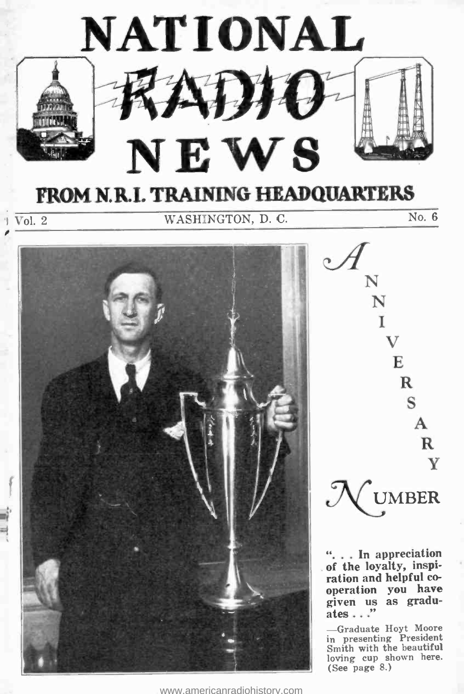

<www.americanradiohistory.com>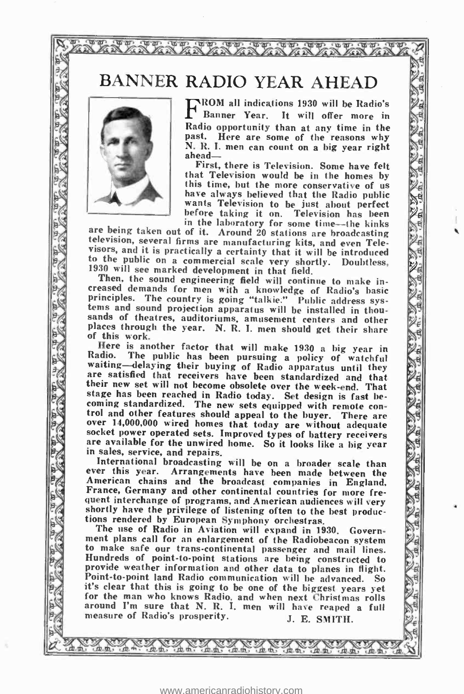### BANNER RADIO YEAR AHEAD

that that was now was now was AR AR ARA ARA ARA



**DI WD** 

RECOM all indications 1930 will be Radio's

First, there is Television. Some have felt that Television would be in the homes by this time, but the more conservative of us have always believed that the Radio public wants Television to be just about perfect

before taking it on. Television has been<br>in the laboratory for some time—the kinks<br>television, several firms are manufacturing kits, and even Televisors, and it is practically a certainty that it will be introduced<br>to the public on a commercial scale very shortly. Doubtless,<br>1930 will see marked development in that field,<br>Then, the sound engineering field will cont

creased demands for men with a knowledge of Radio's basic principles. The country is going "talkie." Public address sys-<br>tems and sound projection apparatus will be installed in thou. tems and sound projection apparatus will be installed in thou-<br>sands of theatres, auditoriums, amusement centers and other sands of theatres, auditoriums, amusement centers and other<br>places through the year. N. R. I. men should get their share<br>of this work.<br>Here is another factor that will make 1930 a big year in ;.<br>waiting delaying their hur

waiting-delaying their buying of Radio apparatus until they are satisfied that receivers have been standardized and that<br>their new set will not become obsolete over the week-end. That<br>stage has been reached in Radio today. Set design is fast be-<br>coming standardized. The new sets eq over 14,000,000 wired homes that today are without adequate<br>socket power operated sets. Improved types of battery receivers<br>are available for the unwired home. So it looks like a big year<br>in sales, service, and repairs. stage has been reached in Radio today. Set design is fast be-

International broadcasting will be on a broader scale than<br>ever this year. Arrangements have been made between the American chains and the broadcast companies in England,<br>France, Germany and other continental countries for more fre-<br>quent interchange of programs, and American audiences will very<br>shortly have the privilege of listening tions rendered by European Symphony orchestras.<br>The use of Radio in Aviation will expand in 1930. Govern-

ment plans call for an enlargement of the Radiobeacon system<br>to make safe our trans-continental passenger and mail lines. tions rendered by European Symphony orchestras.<br>
The use of Radio in Aviation will expand in 1930. Government plans call for an enlargement of the Radiobeacon system<br>
to make safe our trans-continental passenger and mail l provide weather information and other data to planes in flight. Point to point land Radio communication will be advanced. So it's clear that this is going to be one of the biggest years yet for the man who knows Radio, and when next Christmas rolls around I'm sure that N. R. I. men will have reaped a full measure of Radio's prosperity. J. E. SMITH.

,\ \ : / \)7 \ % % /' \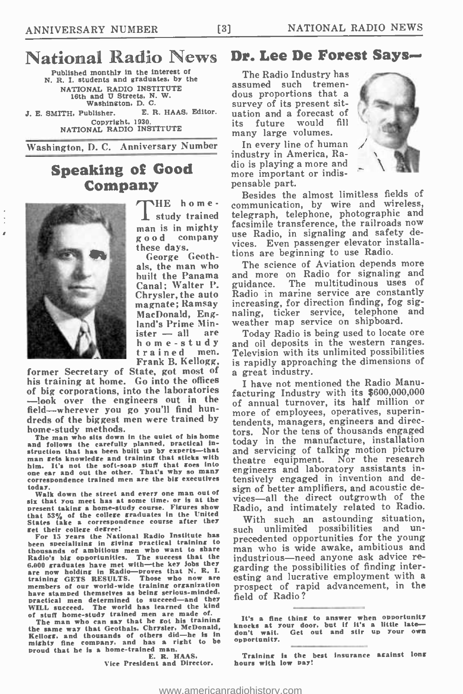# National Radio News Dr. Lee De Forest Says-

Published monthly in the interest of N. R. I. students and graduates, by the NATIONAL RADIO INSTITUTE 18th and U Streets, N. W. Washington. D. C. J. E. SMITH, Publisher. E. R. HAAS, Editor.<br>Copyright, 1930. NATIONAL RADIO INSTITUTE

Washington, D. C. Anniversary Number

### **Speaking of Good** dio is playing a more and Company



é

**NHE** home-I study trained man is in mighty good company these days.

George Geothals, the man who built the Panama and more<br>Canal: Walter P. guidance. Canal; Walter P. Chrysler, the auto magnate; Ramsay MacDonald, England's Prime Min-<br>
ister -- all are home - study and<br>
trained men. Tel<br>
Frank B. Kellogg, is

former Secretary of State, got most of a great industry. his training at home. Go into the offices of big corporations, into the laboratories -look over the engineers out in the field -wherever you go you'll find hunfield—wherever you go you'll find nun-<br>dreds of the biggest men were trained by tandants managers anothears and divechome -study methods.

The man who sits down in the quiet of his home and follows the carefully planned, practical instruction that has been built up by experts—that and servicing of tal<br>man gets knowledge and training that sticks with the atre equipment. him. It's not the soft-soap stuff that goes into one ear and out the other. That's why so many correspondence trained men are the big executives

today. Walk down the street and every one man out of six that you meet has at some time, or is at the present taking a home -study course. Figures show that 53% of the college graduates in the United States take a correspondence course after they Winglet their college defines!

For 15 years the National Radio Institute has been specializing in giving practical training to precedented opportunities for the young<br>thousands of ambitious men who want to share man who is wide awake, ambitious and thousands of ambitious men who want to share Radio's big opportunities. The success that the in<br>6.000 graduates have met with -the key Jobs they are now holding in Radio -proves that N. R. I.  $g^2$ training GETS RESULTS. Those who now are esting and lucrative employment with a<br>members of our world-wide training organization prospect of rapid advancement, in the have stamped themselves as being serious-minded, practical men determined to succeed—and they fierd by the world has learned the kind<br>of stuff home-study trained men are made of.

The man who can say that he got his training the same way that Geothals, Chrysler, McDonald, Ine same way that ucourans, currency and thousands of others did—he is in domestion of the same of others did—he is in dependent of the production of the same of the same of the production of the same of the same of the sa

E. R. HAAS,<br>Vice President and Director.

The Radio Industry has assumed such tremendous proportions that a survey of its present situation and a forecast of<br>its future would fill future would many large volumes.

In every line of human industry in America, Ramore important or indispensable part.



Besides the almost limitless fields of communication, by wire and wireless, telegraph, telephone, photographic and<br>facsimile transference, the railroads now use Radio, in signaling and safety devices. Even passenger elevator installations are beginning to use Radio.

The science of Aviation depends more and more on Radio for signaling and The multitudinous uses of Radio in marine service are constantly increasing, for direction finding, fog signaling, ticker service, telephone and

weather map service on shipboard.<br>Today Radio is being used to locate ore and oil deposits in the western ranges. Television with its unlimited possibilities is rapidly approaching the dimensions of

I have not mentioned the Radio Manufacturing Industry with its \$600,000,000 of annual turnover, its half million or tendents, managers, engineers and directors. Nor the tens of thousands engaged today in the manufacture, installation and servicing of talking motion picture Nor the research. engineers and laboratory assistants intensively engaged in invention and design of better amplifiers, and acoustic devices—all the direct outgrowth of the Radio, and intimately related to Radio.

With such an astounding situation,<br>ch unlimited possibilities and unprecedented opportunities for the young industrious-need anyone ask advice regarding the possibilities of finding interesting and lucrative employment with a field of Radio?

Training is the best insurance against long hours with low pay!

It's a fine thing to answer when opportunity<br>knocks at your door, but if it's a little late don't wait. Get out and stir up your own opportunity.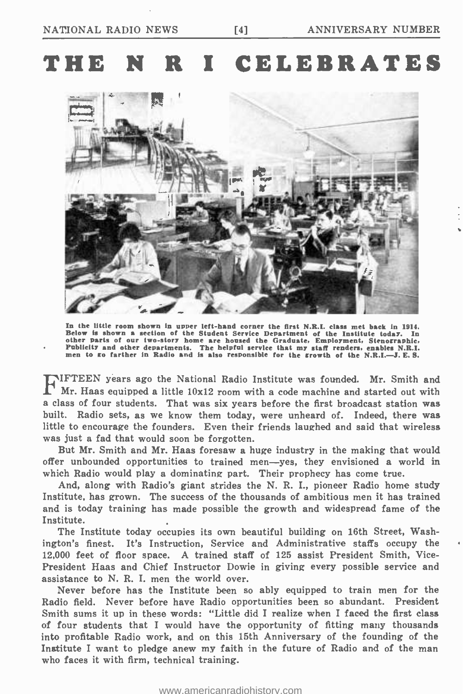## THE N R I CELEBRATES



In the little room shown in upper left-hand corner the first N.R.I. class met back in 1914.<br>Below is shown a section of the Student Service Department of the Institute today. In other parts of our two-story home are housed

IFTEEN years ago the National Radio Institute was founded. Mr. Smith and Mr. Haas equipped a little 10x12 room with a code machine and started out with a class of four students. That was six years before the first broadcast station was built. Radio sets, as we know them today, were unheard of. Indeed, there was little to encourage the founders. Even their friends laughed and said that wireless was just a fad that would soon be forgotten.

But Mr. Smith and Mr. Haas foresaw a huge industry in the making that would offer unbounded opportunities to trained men-yes, they envisioned a world in which Radio would play a dominating part. Their prophecy has come true.

And, along with Radio's giant strides the N. R. I., pioneer Radio home study Institute, has grown. The success of the thousands of ambitious men it has trained and is today training has made possible the growth and widespread fame of the Institute.

The Institute today occupies its own beautiful building on 16th Street, Washington's finest. It's Instruction, Service and Administrative staffs occupy the President Haas and Chief Instructor Dowie in giving every possible service and assistance to N. R. I. men the world over.

Never before has the Institute been so ably equipped to train men for the Radio field. Never before have Radio opportunities been so abundant. President Smith sums it up in these words: "Little did I realize when I faced the first class of four students that I would have the opportunity of fitting many thousands into profitable Radio work, and on this 15th Anniversary of the founding of the Institute I want to pledge anew my faith in the future of Radio and of the man who faces it with firm, technical training.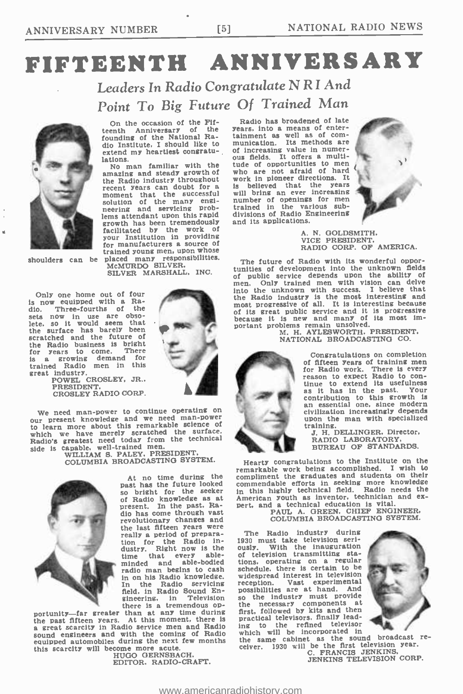# FIFTEENTH ANNIVERSARY

Leaders In Radio Congratulate N R I And Point To Big Future Of Trained Man



On the occasion of the Fif-<br>teenth Anniversary of the teenth Anniversary of the founding of the National Radio Institute, I should like to extend my heartiest congratu- lations.

No man familiar with the amazing and steady growth of the Radio industry throughout<br>recent years can doubt for a recent years can doubt for a lamoment that the successful with the successful with neering and servicing problems attendant upon this rapid<br>growth has been tremendously FORM THE CONSULTER CONSULTER THE STATE OF A THE CONSULTER THE CONSULTER CONSULTER THE CONSULTER CONSULTER THE CONSULTER SAVE CONSULTER AND THE CONSULTER SAVE CONSULTER AND THE CONSULTER SAVE CONSULTER AND THE CONSULTER SAV your Institution in providing for manufacturers a source of trained young men, upon whose shoulders can be placed many responsibilities.<br>
MCMURDO SILVER.

SILVER MARSHALL, INC.

Only one home out of four is now equipped with a Ra-dio. Three -fourths of the sets now in use are obso-<br>lete. so it would seem that the surface has barely been scratched and the future of the Radio business is bright for years to come. There<br>Is a growing demand for<br>trained Radio men in this great industry.<br>POWEL CROSLEY, JR..



PRESIDENT. CROSLEY RADIO CORP.

We need man -power to continue operating on our present knowledge and we need man -power to learn more about this remarkable science of which we have merely scratched the surface. Radio's greatest need today from the technical<br>side is capable, well-trained men.

side is capable, well -trained men. WILLIAM S. PALEY, PRESIDENT. COLUMBIA BROADCASTING SYSTEM.



At no time during the<br>past has the future looked so bright for the seeker of Radio knowledge as at present. In the past. Radio has come through vast revolutionary changes and<br>the last fifteen years were the last fifteen years were<br>really a period of prepara-<br>tion for the Radio in-<br>dustry. Right now is the ou tion for  $\frac{1}{2}$ <br>dustry. Right now is  $\frac{1}{2}$ <br>time that every able-<br>minded and able-bodied radio man begins to cash in on his Radio knowledge. In the Radio servicing In the Radio servicing<br>field, in Radio Sound Engineering. in Television there is a tremendous op-

portunity—far greater than at any time during<br>the past fifteen years. At this moment, there is be past fifteen years. At this moment, there is present scarcity in Radio service men and Radio in sound engineers and with the coming of Radio where equipped automobiles during the next few months the same cabinet as the sound broadcast rethis scarcity will become more acute.

HUGO GERNSBACH. EDITOR. RADIO -CRAFT.

Radio has broadened of late years. into a means of entertainment as well as of com-<br>munication. Its methods are<br>of increasing value in numer-<br>ous fields. It offers a multitude of opportunities to men who are not afraid of hard work in pioneer directions. It is believed that the years will bring an ever increasing number of openings for men trained in the various subdivisions of Radio Engineering and its applications.



A. N. GOLDSMITH. VICE PRESIDENT, RADIO CORP. OF AMERICA.

The future of Radio with its wonderful opportunities of development into the unknown fields of public service depends upon the ability of men. Only trained men with vision can delve into the unknown with success. I believe that the Radio industry is the most interesting and most progressive of all. It is interesting because of its great public service and it is progressive because it is new and many of its most important problems remain unsolved. W. H. M. AYLESWORTH. PRESIDENT.

NATIONAL BROADCASTING CO.



Congratulations on completion<br>of fifteen vears of training men for Radio work. There is every reason to expect Radio to continue to extend its usefulness as it has in the past. Your contribution to this growth is an essential one, since modern civilization increasingly depends upon the man with specialized<br>training.<br>J. H. DELLINGER. Director,

RADIO LABORATORY, BUREAU OF STANDARDS.

Hearty congratulations to the Institute on the remarkable work being accomplished. I wish to compliment the graduates and students on their commendable efforts in seeking more knowledge in this highly technical field. Radio needs the American youth as inventor, technician and ex-<br>pert, and a technical education is vital......... pert, and a technical education is vital.<br>PAUL A. GREEN. CHIEF ENGINEER.

COLUMBIA BROADCASTING SYSTEM.

The Radio industry during 1930 must take television seriously. With the inauguration of television transmitting stations, operating on a regular schedule. there is certain to be widespread interest in television reception. Vast experimental possibilities are at hand. And so the industry must provide the necessary components at first, followed by kits and then practical televisors. finally lead-<br>ing to the refined televisor the refined televisor which will be incorporated in



the same cabinet as the sound broadcast re- ceiver. 1930 will be the first television year. JENKINS TELEVISION CORP.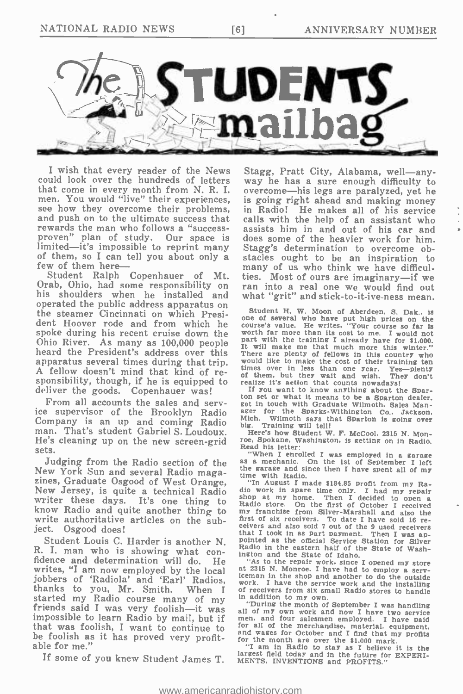

I wish that every reader of the News Stagg, Pratt City, Alabama, well—any-<br>uld look over the hundreds of letters way he has a sure enough difficulty to could look over the hundreds of letters<br>that come in every month from N.R.I. men. You would "live" their experiences, see how they overcome their problems, and push on to the ultimate success that rewards the man who follows a "success-<br>proven" plan of study. Our space is limited—it's impossible to reprint many of them, so I can tell you about only a few of them here—

his shoulders when he installed and operated the public address apparatus on the steamer Cincinnati on which President Hoover rode and from which he course's vertical wind they will there we have a far is<br>spoke during his recent cruise down the worth far more than its cost to me. I would not spoke during his recent cruise down the worth far more than its cost to me. I would not<br>Ohio River. As many as  $100,000$  people part with the training I already have for \$1,000. Ohio River. As many as 100,000 people it will make me that much more this winter."<br>heard the President's address over this There are plenty of fellows in this country who A fellow doesn't mind that kind of reapparatus several times during that trip,  $\frac{1}{100}$  and the interval and wish. They doesn't mind that kind of re-<br>sponsibility, though, if he is equipped to realize it's action that counts now adaps. They don't<br>deliver deliver the goods. Copenhauer was!

From all accounts the sales and service supervisor of the Brooklyn Radio Company is an up and coming Radio much. Will work was that sparton is going over<br>man. That's student Gabriel S. Loudoux. Here's how Student W. F. McCool, 2315 N. Mon-He's cleaning up on the new screen -grid sets.

Judging from the Radio section of the as a mechanic. On the 1st of September I left<br>New York Sun and several Radio maga-<br>time with Radio. zines, Graduate Osgood of West Orange,<br>New Jersey, is quite a technical Radio dio work in spare time only. I had my repair<br>writer these days. It's one thing to shop at my home. Then I decided to open a<br>know Radio and quite know Radio and quite another thing to write authoritative articles on the subject. Osgood does!

R. I. man who is showing what con-<br>fidence and determination will do. He was to the state of Idaho.<br>writes, "I am now employed by the local at 2315 N. Monroe. I have had<br>jobbers of 'Radiola' and 'Earl' Radios, work I have blanks to you, Mr. Smith. When I of receivers from six small Radio stores to handle<br>started my Radio course many of my in addition to my own.<br>friends said I was very foolish—it was ill of my own work and now I have two ser be foolish as it has proved very profit- able for me."

Student Ralph Copenhauer of Mt. ties. Most of ours are imaginary—if we<br>Orab, Ohio, had some responsibility on ran into a real one we would find out Stagg, Pratt City, Alabama, well-anyovercome-his legs are paralyzed, yet he is going right ahead and making money in Radio! He makes all of his service calls with the help of an assistant who assists him in and out of his car and does some of the heavier work for him. Stagg's determination to overcome obstacles ought to be an inspiration to many of us who think we have difficulmany of us who think we have dimedi-<br>ties. Most of ours are imaginary—if we<br>ran into a real one we would find out what "grit" and stick-to-it-ive-ness mean.

> Student H. W. Moon of Aberdeen, S. Dak., is<br>one of several who have put high prices on the<br>course's value. He writes, "Your course so far is times over in less than one year. Yes—plenty<br>of them, but they wait and wish. They don't<br>realize it's action that counts nowadays!

> ton set or what it means to be a Sparton dealer.<br>get in touch with Graduate Wilmoth. Sales Manager for the Sparks-Withington Co., Jackson, Mich. Wllmoth says that Sparton is going over big. Training will tell!

> roe, Spokane, Washington, is getting on in Radio.<br>Read his letter:

weat in sector.<br>"When I enrolled I was employed in a garage as a mechanic. On the 1st of September I left

<sup>2</sup> that I took in as part payment. Then I was apsoluted Louis C. Harder is another N. pointed as the official Service Station for Silver I man who is showning what com-<br>I man who is showning what comdio work in spare time only. I had my repair shop at my home. Then I decided to open a first of six receivers. To date I have sold 16 receivers and also sold 7 out of the 9 used receivers

"As to the repair work since I opened my store<br>at 2315 N. Monroe, I have had to employ a serv-<br>iceman in the shop and another to do the outside<br>work. I have the service work and the installing<br>of receivers from six small

If am in Radio to stay as I believe it is the Student James T. The Student James T. MENTS. INVENTIONS and in the future for EXPERI-<br>If some of you knew Student James T. MENTS. INVENTIONS and PROFITS." MENTS, INVENTIONS and PROFITS."

<www.americanradiohistory.com>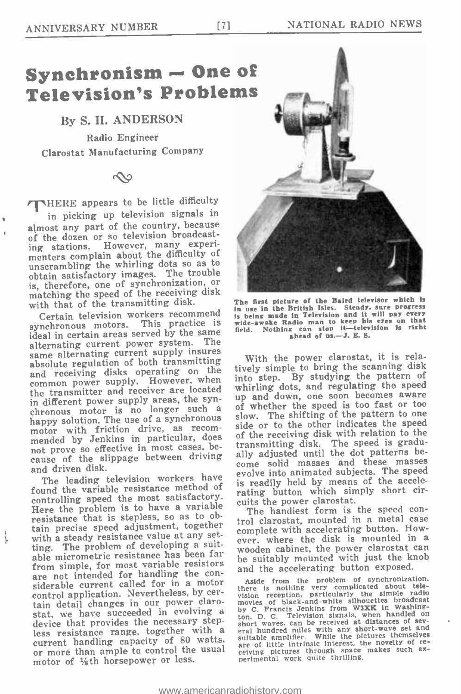### Synchronism - One of Television's Problems

### By S. H. ANDERSON

Radio Engineer Clarostat Manufacturing Company

### $\infty$

/THERE appears to be little difficulty in picking up television signals in almost any part of the country, because of the dozen or so television broadcast-<br>ing stations. However, many experi-However, many experimenters complain about the difficulty of unscrambling the whirling dots so as to obtain satisfactory images. The trouble matching the speed of the receiving disk with that of the transmitting disk.

synchronous motors. This practice is<br>ideal in certain areas served by the same alternating current power system. The same alternating current supply insures absolute regulation of both transmitting and receiving disks operating on the common power supply. However, when the transmitter and receiver are located in different power supply areas, the syn-<br>chronous motor is no longer such a chronous motor is no longer such a slow. The shifting of the pattern to one motor with friction drive, as recom-<br>mended by Jenkins in particular, does of the receiving disk with relation to the<br>not prove so effective in most cases, be-<br>ransmitting disk. The speed is gradu-<br>the speed is gradu-<br>the cause of the slippage between driving and driven disk.

The leading television workers have found the variable resistance method of controlling speed the most satisfactory. Laving button which the control of the speed con-<br>Here the problem is to have a variable The handiest form is the speed con-Here the problem is to have a variable resistance that is stepless, so as to obtain precise speed adjustment, together true clarescal, included in a metal case with a steady resistance value at any setting. The problem of developing a suitting. The problem of developing a sult-<br>able micrometric resistance has been farm that be suitably mounted with just the knob from simple, for most variable resistors are not intended for handling the con-<br>siderable current called for in a motor<br>control application. Nevertheless, by certain detail changes in our power clarostat, we have succeeded in evolving a by C. Francis Jenkins irom waxk in washing-<br>device that provides the necessary step-<br>less resistance range, together with a curl waves can be received at distances of sev-<br>less resist motor of  $\frac{1}{8}$ th horsepower or less.



th that of the transmitting wish.<br>Certain television workers recommend is being made in Television and it will pay every The first picture of the Baird televisor which is is being made in Television and It will pay every wide -awake Radio man to keep his eyes on that field. Nothing can stop it- television is right ahead of us.-J. E. S.

With the power clarostat, it is relatively simple to bring the scanning disk into step. By studying the pattern of whirling dots, and regulating the speed up and down, one soon becomes aware of whether the speed is too fast or too side or to the other indicates the speed of the receiving disk with relation to the transmitting disk. The speed is graducome solid masses and these masses evolve into animated subjects. The speed is readily held by means of the accelerating button which simply short circuits the power clarostat.

trol clarostat, mounted in a metal case ever, where the disk is mounted in a and the accelerating button exposed.

Aside from the problem of synchronization.<br>
there is nothing very complicated about tele-<br>
wision reception. particularly the simple radio<br>
movies of black-and-white silhouettes broadcast<br>
movies of black-and-white silhoue by C. Francis Jenkins from W3XK in Washing-<br>ton. D. C. Television signals, when handled on<br>short waves. can be received at distances of sev-<br>eral hundred miles with any short-wave set and<br>short wave set and eral numbers while the pictures themselves are of little intrinsic interest. the novelty of re-<br>ceiving pictures through space makes such ex-<br>perimental work quite thrilling.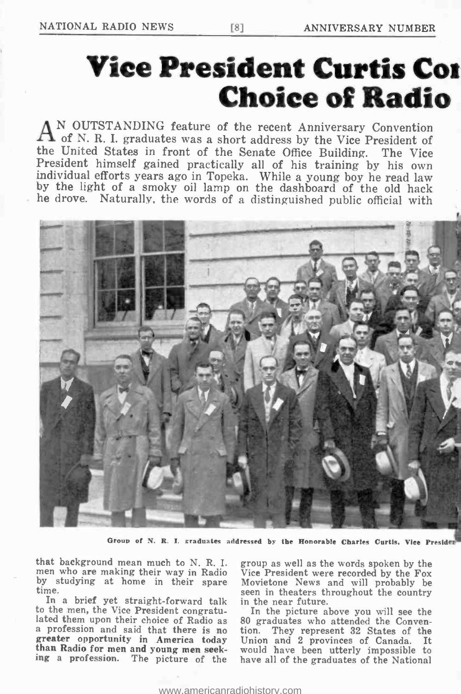# Vice President Curtis Coi Choice of Radio

AN OUTSTANDING feature of the recent Anniversary Convention A of N. R. I. graduates was a short address by the Vice President of the United States in front of the Senate Office Building. The Vice President himself gained practically all of his training by his own individual efforts years ago in Topeka. While a young boy he read law by the light of a smoky oil lamp on the dashboard of the old hack he drove. Naturally, the words of a distinguished public official with



Group of N. R. I. graduates addressed by the Honorable Charles Curtis. Vice Presider

that background mean much to N. R. I. men who are making their way in Radio by studying at home in their spare<br>time.

lated them upon their choice of Radio as<br>a profession and said that there is no<br>greater opportunity in America today<br>than Radio for men and young men seeking a profession. The picture of the

time.<br>In a brief yet straight-forward talk in the near future.<br>to the men, the Vice President congratu-<br>In the picture above you will see the group as well as the words spoken by the Vice President were recorded by the Fox Movietone News and will probably be

In the picture above you will see the 80 graduates who attended the Convention. They represent 32 States of the Union and 2 provinces of Canada. It would have been utterly impossible to have all of the graduates of the National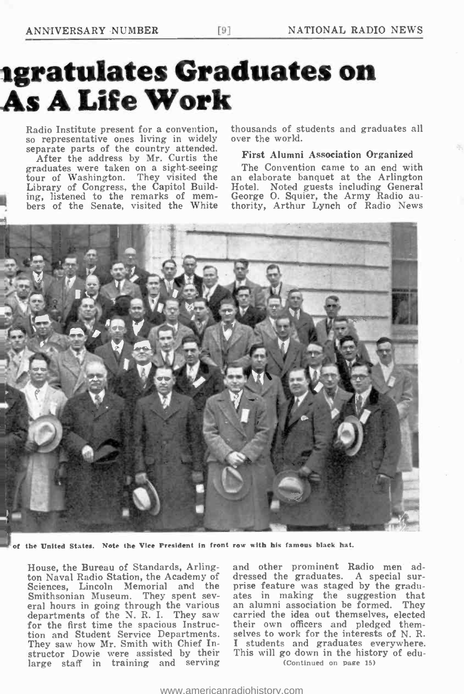# igratulates Graduates on As A Life Work

Radio Institute present for a convention, thousands of st<br>so representative ones living in widely over the world. separate parts of the country attended.

After the address by Mr. Curtis the First Alumni Association Organized<br>aduates were taken on a sight-seeing The Convention came to an end with graduates were taken on a sight-seeing The Convention came to an end with tour of Washington. They visited the an elaborate banquet at the Arlington tour of Washington. They visited the Library of Congress, the Capitol Build-<br>ing, listened to the remarks of members of the Senate, visited the White

thousands of students and graduates all

#### First Alumni Association Organized

Hotel. Noted guests including General George O. Squier, the Army Radio authority, Arthur Lynch of Radio News



of the United States. Note the Vice President in front row with his famous black hat.

House, the Bureau of Standards, Arlington Naval Radio Station, the Academy of dressed the graduates. A special sur-<br>Sciences, Lincoln Memorial and the prise feature was staged by the gradu-Sciences, Lincoln Memorial and the<br>Smithsonian Museum. They spent sev-Smithsonian Museum. They spent sev-<br>eral hours in going through the various an departments of the N. R. I. They saw for the first time the spacious Instruc-They saw how Mr. Smith with Chief Instructor Dowie were assisted by their large staff in training and serving

tion and Student Service Departments. selves to work for the interests of N. R.<br>They saw how Mr. Smith with Chief In- I students and graduates everywhere. and other prominent Radio men addressed the graduates. A special surates in making the suggestion that an alumni association be formed. They carried the idea out themselves, elected their own officers and pledged themselves to work for the interests of N. R. This will go down in the history of edu-(Continued on page 15)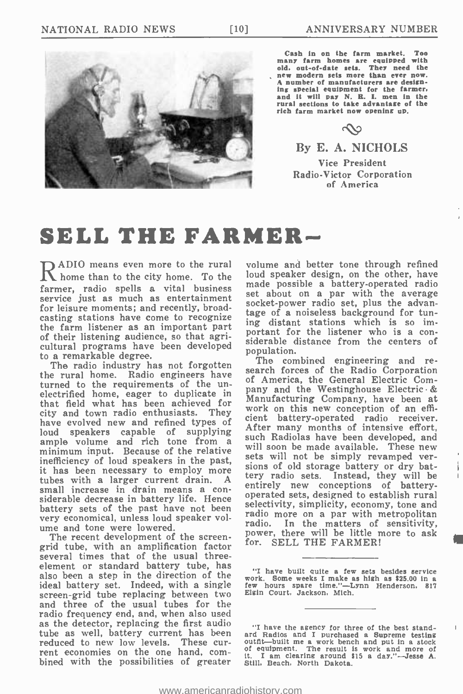

Cash In on the farm market. Too many farm homes are equipped with old, out -of -date sets. They need the new modern sets more than ever now. A number of manufacturers are design-<br>ing special equipment for the farmer.<br>and it will pay N. R. I. men in the rural sections to take advantage of the rich farm market now opening up.

### $\infty$

### By E. A. NICHOLS

Vice President Radio -Victor Corporation of America

### SELL THE FARMER-

ADIO means even more to the rural home than to the city home. To the farmer, radio spells a vital business service just as much as entertainment<br>Socket-power radio set, plus the advanfor leisure moments; and recently, broadcasting stations have come to recognize the farm listener as an important part<br>of their listening audience, so that agriof their listening audience, so that agri-<br>cultural programs have been developed population to a remarkable degree.

turned to the requirements of the un-<br>electrified home, eager to duplicate in pa that field what has been achieved for  $\frac{Ma}{w}$ city and town radio enthusiasts. They have evolved new and refined types of<br>loud speakers capable of supplying ample volume and rich tone from a such kadiolas have been developed, and<br>minimum input. Because of the relative will soon be made available. These new<br>inefficiency of loud speakers in the past, sets will not be simply reva it has been necessary to employ more<br>tubes with a larger current drain. A<br>small increase in drain means a considerable decrease in battery life. Hence battery sets of the past have not been<br>were economical unless loud speaker volger and only even a par with metropolitan very economical, unless loud speaker volume and tone were lowered.<br>The recent development of the screen-

grid tube, with an amplification factor several times that of the usual three-<br>element or standard battery tube, has also been a step in the direction of the  $\frac{1}{2}$  that we pull quite a lew sets besides service<br>ideal battery set. Indeed, with a single few hours spare time."—Lynn Henderson, 817 screen-grid tube replacing between two Elgin Court, Jackson, Mich. and three of the usual tubes for the radio frequency end, and, when also used as the detector, replacing the first audio tube as well, battery current has been reduced to new low levels. These current economies on the one hand, com-<br>bined with the possibilities of greater still, Beach, North Dakota.

volume and better tone through refined loud speaker design, on the other, have made possible a battery -operated radio set about on a par with the average tage of a noiseless background for tuning distant stations which is so important for the listener who is a conpopulation.

The radio industry has not forgotten<br>The combined engineering and re-<br>the rural home. Radio engineers have search forces of the Radio Corporation<br>turned to the requirements of the unit of America, the General Electric Comsearch forces of the Radio Corporation pany and the Westinghouse Electric & Manufacturing Company, have been at work on this new conception of an efficient battery -operated radio receiver. After many months of intensive effort, such Radiolas have been developed, and sets will not be simply revamped versions of old storage battery or dry battery radio sets. Instead, they will be entirely new conceptions of battery-<br>operated sets, designed to establish rural selectivity, simplicity, economy, tone and radio. In the matters of sensitivity, power, there will be little more to ask for. SELL THE FARMER!

IN

<sup>&</sup>quot;I have built quite a few sets besides service few hours spare time." -Lynn Henderson. 817

<sup>&</sup>quot;I have the agency for three of the best standard Radios and I purchased a Supreme testing outfit—built me a work bench and put in a stock of equipment. The result is work and more of it. I am clearing around \$15 a day."-Jesse A. Still. Beach. North Dakota.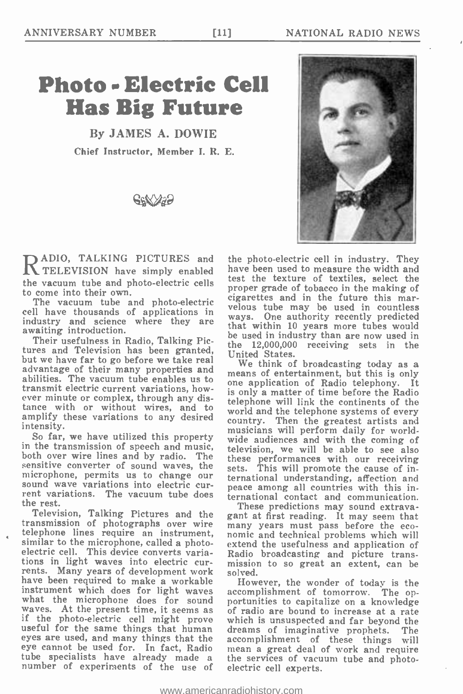## Photo Electric Cell Has Big Future

By JAMES A. DOWIE Chief Instructor, Member J. R. E.





**ADIO, TALKING PICTURES and the photo-electric cell in industry. They** They They They results and the photo-electric cell in industry. They  $\mathbf N$  TELEVISION have simply enabled the vacuum tube and photo-electric cells<br>to come into their own.

The vacuum tube and photo-electric cell have thousands of applications in industry and science where they are ways. One authority recently predicted<br>that within 10 years more tubes would awaiting introduction.

Their usefulness in Radio, Talking Pictures and Television has been granted, but we have far to go before we take real advantage of their many properties and we think of proadcasting today as a abilities. The vacuum tube enables us to transmit electric current variations, however minute or complex, through any distance with or without wires, and to amplify these variations to any desired intensity.

So far, we have utilized this property in the transmission of speech and music, both over wire lines and by radio. The sensitive converter of sound waves, the sets. microphone, permits us to change our sound wave variations into electric cur- rent variations. The vacuum tube does the rest.

Television, Talking Pictures and the ga transmission of photographs over wire similar to the microphone, called a photo-<br>electric cell. This device converts variations in light waves into electric currents. Many years of development work have been required to make a workable instrument which does for light waves what the microphone does for sound portunities to capitalize on a knowledge waves. At the present time, it seems as if the photo-electric cell might prove which is unsuspected and far beyond the useful for the same things eyes are used, and many things that the accomplishment of these things will eye cannot be used for. In fact, Radio mean a great deal of work and require eye cannot be used for. In fact, Radio tube specialists have already made a the services of vacue number of experiments of the use of electric cell experts.

the photo-electric cell in industry. They test the texture of textiles, select the proper grade of tobacco in the making of cigarettes and in the future this marvelous tube may be used in countless ways. One authority recently predicted be used in industry than are now used in the 12,000,000 receiving sets in the United States.

We think of broadcasting today as a means of entertainment, but this is only one application of Radio telephony. It is only a matter of time before the Radio telephone will link the continents of the world and the telephone systems of every country. Then the greatest artists and musicians will perform daily for worldwide audiences and with the coming of television, we will be able to see also these performances with our receiving sets. This will promote the cause of insets. This will promote the cause of in-<br>ternational understanding, affection and peace among all countries with this international contact and communication.

These predictions may sound extravagant at first reading. It may seem that many years must pass before the eco- nomic and technical problems which will extend the usefulness and application of Radio broadcasting and picture transmission to so great an extent, can be solved.

However, the wonder of today is the accomplishment of tomorrow. The opwhich is unsuspected and far beyond the dreams of imaginative prophets. The the services of vacuum tube and photo-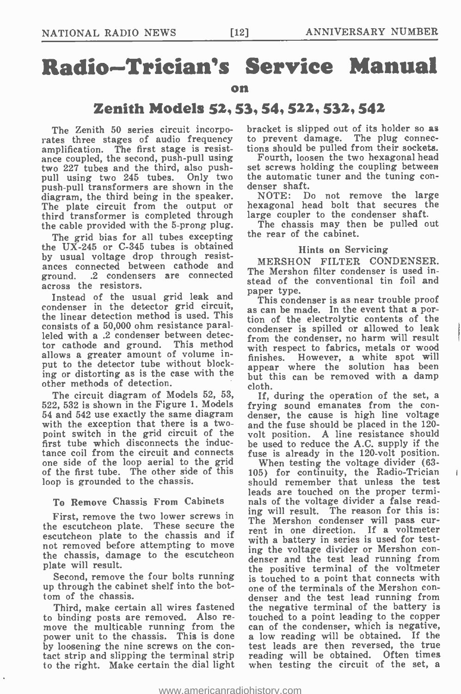# Radio -Trician's Service Manual

#### on

### Zenith Models 52, 53, 54, 522, 532, 542

The Zenith 50 series circuit incorporates three stages of audio frequency to prevent damage. The plug connecamplification. The first stage is resist- ance coupled, the second, push -pull using two 227 tubes and the third, also push-<br>pull using two 245 tubes. Only two the automatic<br>push-pull transformers are shown in the denser shaft. push-pull transformers are shown in the denser shandiary of the shown in the denser shandiary. diagram, the third being in the speaker. The plate circuit from the output or third transformer is completed through the cable provided with the 5 -prong plug.

The grid bias for all tubes excepting the  $UX-245$  or  $C-345$  tubes is obtained by usual voltage drop through resistances connected between cathode and ground. .2 condensers are connected across the resistors.

ross the resistors.<br>Instead of the usual grid leak and **paper type.** condenser in the detector grid circuit, the linear detection method is used. This consists of a 50,000 ohm resistance paralleled with a .2 condenser between detector cathode and ground. This method allows a greater amount of volume input to the detector tube without blocking or distorting as is the case with the other methods of detection.

The circuit diagram of Models 52, 53, The circuit diagram of Models 52, 53, If, during the operation of the set, a<br>522, 532 is shown in the Figure 1. Models frying sound emanates from the con-<br>54 and 542 use exactly the same diagram denser, the cause is high l 54 and 542 use exactly the same diagram denser, the cause is high line voltage with the exception that there is a two- and the fuse should be placed in the 120point switch in the grid circuit of the first tube which disconnects the inducone side of the loop aerial to the grid of the first tube. The other side of this loop is grounded to the chassis.

### To Remove Chassis From Cabinets

First, remove the two lower screws in the escutcheon plate. These secure the escutcheon plate to the chassis and if not removed before attempting to move<br>the chassis, damage to the escutcheon denser and the test lead running from plate will result.

up through the cabinet shelf into the bottom of the chassis.

Third, make certain all wires fastened<br>to binding posts are removed. Also remove the multicable running from the can of the condenser, which is negative, power unit to the chassis. This is done a low reading will be obtained. If the power unit to the chassis. This is done by loosening the nine screws on the con- tact strip and slipping the terminal strip to the right. Make certain the dial light

bracket is slipped out of its holder so as tions should be pulled from their sockets.

Fourth, loosen the two hexagonal head set screws holding the coupling between the automatic tuner and the tuning con-<br>denser shaft.<br>NOTE: Do not remove the large

hexagonal head bolt that secures the large coupler to the condenser shaft.

The chassis may then be pulled out the rear of the cabinet.

### Hints on Servicing

MERSHON FILTER CONDENSER. The Mershon filter condenser is used instead of the conventional tin foil and

This condenser is as near trouble proof as can be made. In the event that a portion of the electrolytic contents of the condenser is spilled or allowed to leak from the condenser, no harm will result with respect to fabrics, metals or wood finishes. However, a white spot will appear where the solution has been but this can be removed with a damp cloth.

frying sound emanates from the convolt position. A line resistance should be used to reduce the A.C. supply if the fuse is already in the 120-volt position.

Second, remove the four bolts running is touched to a point that connects with When testing the voltage divider (63- 105) for continuity, the Radio-Trician should remember that unless the test leads are touched on the proper terminals of the voltage divider a false reading will result. The reason for this is: The Mershon condenser will pass current in one direction. If a voltmeter with a battery in series is used for testing the voltage divider or Mershon conthe positive terminal of the voltmeter is touched to a point that connects with one of the terminals of the Mershon con- denser and the test lead running from the negative terminal of the battery is touched to a point leading to the copper test leads are then reversed, the true reading will be obtained. Often times when testing the circuit of the set, a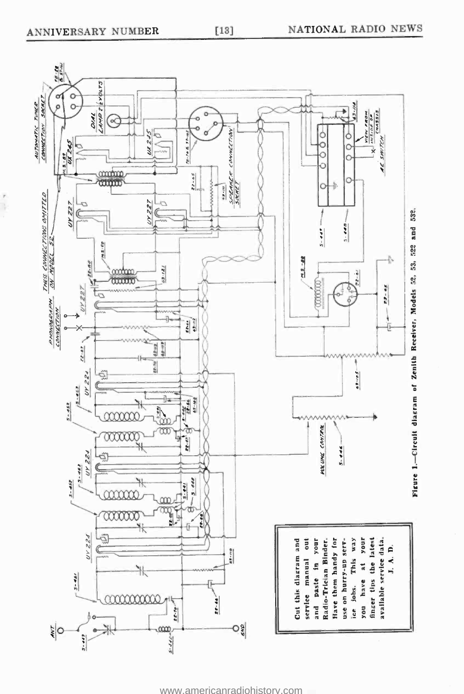٦



<www.americanradiohistory.com>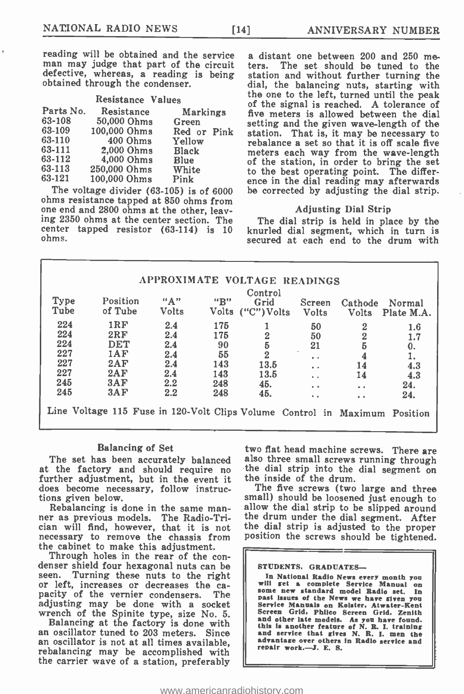reading will be obtained and the service a distant one between 200 and 250 me-<br>man may judge that part of the circuit ters. The set should be tuned to the defective, whereas, a reading is being obtained through the condenser.

|           | Resistance Values |                 | <b>LIIE</b><br>оf |
|-----------|-------------------|-----------------|-------------------|
| Parts No. | Resistance        | <b>Markings</b> | fiv               |
| 63-108    | 50,000 Ohms       | Green           | set               |
| 63-109    | 100,000 Ohms      | Red or Pink     | sta               |
| 63-110    | 400 Ohms          | Yellow          | rel               |
| 63-111    | 2,000 Ohms        | Black           | me                |
| 63-112    | 4,000 Ohms        | Blue            | of                |
| 63-113    | 250,000 Ohms      | White           | to                |
| 63-121    | 100,000 Ohms      | Pink            | en                |

63-121 100,000 Ohms Pink ence in the dial reading may afterwards<br>The voltage divider (63-105) is of 6000 be corrected by adjusting the dial strip.<br>ohms resistance tapped at 850 ohms from one end and 2800 ohms at the other, leaving 2350 ohms at the center section. The center tapped resistor (63-114) is 10 ohms.

a distant one between 200 and 250 mestation and without further turning the dial, the balancing nuts, starting with<br>the one to the left, turned until the peak of the signal is reached. A tolerance of five meters is allowed between the dial setting and the given wave-length of the station. That is, it may be necessary to rebalance a set so that it is off scale five meters each way from the wave-length<br>of the station, in order to bring the set to the best operating point. The differbe corrected by adjusting the dial strip.

#### Adjusting Dial Strip

The dial strip is held in place by the knurled dial segment, which in turn is secured at each end to the drum with

|      | Control  |       |     |                   |                      |                        |            |  |
|------|----------|-------|-----|-------------------|----------------------|------------------------|------------|--|
| Type | Position | "A"   | "B" | Grid              | Screen               | Cathode                | Normal     |  |
| Tube | of Tube  | Volts |     | Volts ("C") Volts | <b>Volts</b>         | <b>Volts</b>           | Plate M.A. |  |
| 224  | 1RF      | 2.4   | 175 |                   | 50                   | 2                      | $1.6\,$    |  |
| 224  | 2RF      | 2.4   | 175 | 2                 | 50                   | $\overline{2}$         | 1.7        |  |
| 224  | DET      | 2.4   | 90  | 5                 | 21                   | 5                      | $\bf{0}$ . |  |
| 227  | 1AF      | 2.4   | 55  | $\overline{2}$    | $\ddot{\phantom{a}}$ | 4                      |            |  |
| 227  | 2AF      | 2.4   | 143 | 13.5              | $\ddot{\phantom{a}}$ | 14                     | 4.3        |  |
| 227  | 2AF      | 2.4   | 143 | 13.5              | $\bullet$            | 14                     | 4.3        |  |
| 245  | 3AP      | 2.2   | 248 | 45.               | $\ddot{\phantom{a}}$ | $\bullet\quad \bullet$ | 24.        |  |
| 245  | 3AF      | 2.2   | 248 | 45.               | $\bullet$ $\bullet$  | $\bullet$              | 24.        |  |

#### Balancing of Set

further adjustment, but in the event it the inside of the drum. does become necessary, follow instructions given below.<br>Rebalancing is done in the same man-

Rebalancing is done in the same man-<br>ner as previous models. The Radio-Trician will find, however, that it is not cian will find, however, that it is not the dial strip is adjusted to the proper<br>necessary to remove the chassis from position the screws should be tightened.<br>the cabinet to make this adjustment.

Through holes in the rear of the condenser shield four hexagonal nuts can be seen. Turning these nuts to the right or left, increases the capacity of the vernier condensers. The adjusting may be done with a socket wrench of the Spinite type, size No. 5.

Balancing at the factory is done with<br>an oscillator tuned to 203 meters. Since an oscillator is not at all times available, rebalancing may be accomplished with the carrier wave of a station, preferably

The set has been accurately balanced also three small screws running through at the factory and should require no the dial strip into the dial segment on two flat head machine screws. There are the dial strip into the dial segment on

The five screws (two large and three small) should be loosened just enough to the drum under the dial segment. After

STUDENTS. GRADUATES-

In National Radio News every month you will get a complete Service Manual on some new standard model Radio set. In past lisues of the News we have given you past issues of the News we have given you Service Manuals on Roister, Atwater -Rent Screen Grid, Philco Screen Grid. Zenith and other late models. As you have found, this is another feature of N. R. I. training and service that gives N. R. I. men the advantage over others in Radio service and repair work. -J. E. S.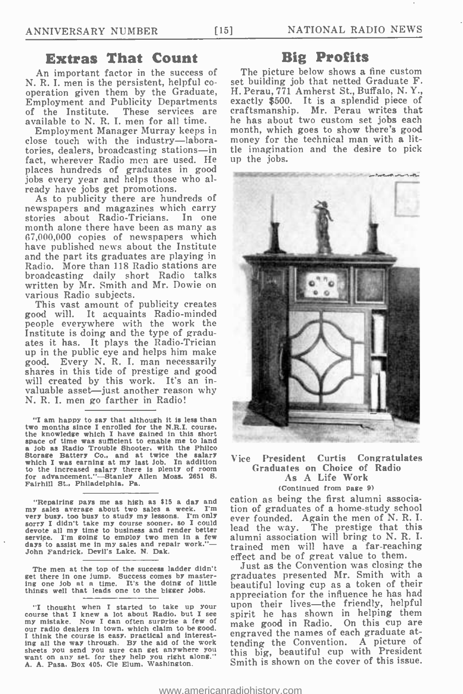### Extras That Count

An important factor in the success of N. R. I. men is the persistent, helpful cooperation given them by the Graduate, Employment and Publicity Departments of the Institute. These services are cra available to N. R. I. men for all time.

Employment Manager Murray keeps in close touch with the industry-laboratories, dealers, broadcasting stations-in fact, wherever Radio men are used. He places hundreds of graduates in good jobs every year and helps those who already have jobs get promotions.

As to publicity there are hundreds of newspapers and magazines which carry stories about Radio-Tricians. In one month alone there have been as many as 67,000,000 copies of newspapers which have published news about the Institute and the part its graduates are playing in Radio. More than 118 Radio stations are broadcasting daily short Radio talks written by Mr. Smith and Mr. Dowie on various Radio subjects.

This vast amount of publicity creates good will. It acquaints Radio- minded people everywhere with the work the Institute is doing and the type of graduates it has. It plays the Radio-Trician up in the public eye and helps him make good. Every N. R. I. man necessarily shares in this tide of prestige and good will created by this work. It's an invaluable asset—just another reason why N. R. I. men go farther in Radio!

"I am happy to say that although it is less than two months since I enrolled for the N.R.I. course, the knowledge which I have gained in this short space of time was sufficient to enable me to land space of time was sufficient to enable me to land a Job as Radio Trouble Shooter. with the Philco Storage Battery Co., and at twice the salary which I was earning at my last Job. In addition to the increased salary there is plenty of room for advancement. " -Stanley Allen Moss, 2651 8. Fairhill St., Philadelphia, Pa.

"Repairing pays me as high as  $\$15$  a day and  $w$  cales a week. I'm my sales average about two sales a week. very busy, too busy to study my lessons. I'm only every busy, too busy to study my lessons. I'm only every here is devote all my time to business and render oetter the call the<br>service. I'm going to employ two men in a few allumni a<br>days to assist me in my sales and repair work."— trained days to assist me in my sales and repair work."-John Fandrick. Devil's Lake. N. Dak.

get there in one jump. Success comes by mastering one lob at a time. It's the doing of little things well that leads one to the bigger Jobs.

"I thought when I started to take up your course that I knew a lot about Radio, but I see of my mistake. Now I can often surprise a few of our radio dealers in town, which claim to be good. I think the course is easy, practical and interesting all the way through. By the aid of the work sheets you send you sure can get anywhere you<br>want on any set, for they help you right along." [1]<br>A. A. Pasa. Box 405, Cle Elum, Washington. [15]

### Big Profits

The picture below shows a fine custom set building job that netted Graduate F. H. Perau, 771 Amherst St., Buffalo, N. Y., exactly \$500. It is a splendid piece of craftsmanship. Mr. Perau writes that he has about two custom set jobs each month, which goes to show there's good money for the technical man with a little imagination and the desire to pick up the jobs.



### Vice President Curtis Congratulates Graduates on Choice of Radio As A Life Work (Continued from page 9)

cation as being the first alumni association of graduates of a home -study school ever founded. Again the men of N. R. I. lead the way. The prestige that this alumni association will bring to N. R. I. trained men will have a far -reaching effect and be of great value to them.

The men at the top of the success ladder didn't dust as the Convention was crosing the<br>t there in one jump. Success comes by master- graduates presented Mr. Smith with a Just as the Convention was closing the beautiful loving cup as a token of their appreciation for the influence he has had upon their lives-the friendly, helpful spirit he has shown in helping them make good in Radio. On this cup are engraved the names of each graduate attending the Convention. A picture of this big, beautiful cup with President Smith is shown on the cover of this issue.